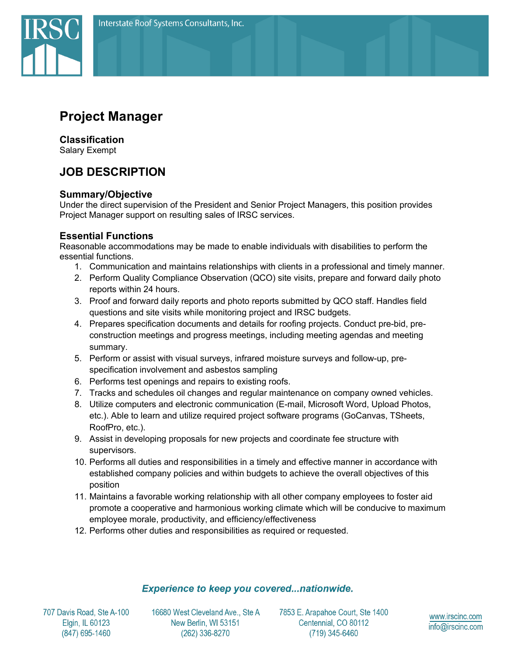

# **Project Manager**

### **Classification**

Salary Exempt

# **JOB DESCRIPTION**

### **Summary/Objective**

Under the direct supervision of the President and Senior Project Managers, this position provides Project Manager support on resulting sales of IRSC services.

# **Essential Functions**

Reasonable accommodations may be made to enable individuals with disabilities to perform the essential functions.

- 1. Communication and maintains relationships with clients in a professional and timely manner.
- 2. Perform Quality Compliance Observation (QCO) site visits, prepare and forward daily photo reports within 24 hours.
- 3. Proof and forward daily reports and photo reports submitted by QCO staff. Handles field questions and site visits while monitoring project and IRSC budgets.
- 4. Prepares specification documents and details for roofing projects. Conduct pre-bid, preconstruction meetings and progress meetings, including meeting agendas and meeting summary.
- 5. Perform or assist with visual surveys, infrared moisture surveys and follow-up, prespecification involvement and asbestos sampling
- 6. Performs test openings and repairs to existing roofs.
- 7. Tracks and schedules oil changes and regular maintenance on company owned vehicles.
- 8. Utilize computers and electronic communication (E-mail, Microsoft Word, Upload Photos, etc.). Able to learn and utilize required project software programs (GoCanvas, TSheets, RoofPro, etc.).
- 9. Assist in developing proposals for new projects and coordinate fee structure with supervisors.
- 10. Performs all duties and responsibilities in a timely and effective manner in accordance with established company policies and within budgets to achieve the overall objectives of this position
- 11. Maintains a favorable working relationship with all other company employees to foster aid promote a cooperative and harmonious working climate which will be conducive to maximum employee morale, productivity, and efficiency/effectiveness
- 12. Performs other duties and responsibilities as required or requested.

#### **Experience to keep you covered...nationwide.**

707 Davis Road, Ste A-100 Elgin, IL 60123 (847) 695-1460

16680 West Cleveland Ave., Ste A New Berlin, WI 53151 (262) 336-8270

7853 E. Arapahoe Court, Ste 1400 Centennial, CO 80112 (719) 345-6460

www.irscinc.com info@irscinc.com